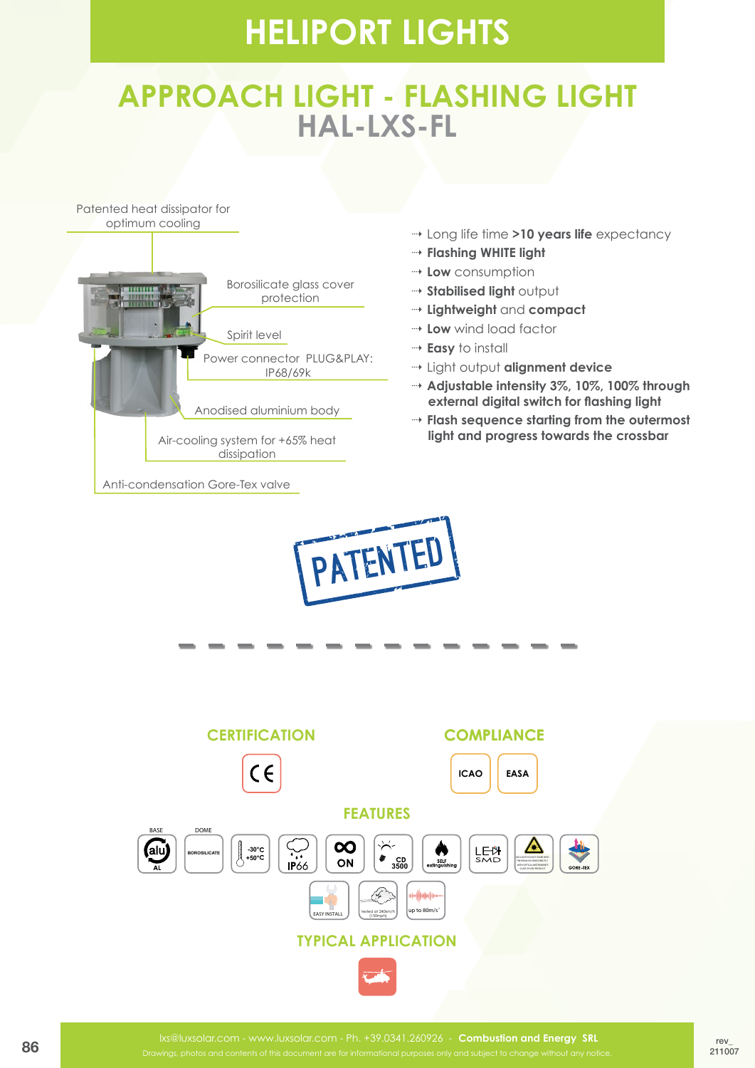### **APPROACH LIGHT - FLASHING LIGHT HAL-LXS-FL**



- ⇢ Long life time **>10 years life** expectancy
- ⇢ **Flashing WHITE light**
- ⇢ **Low** consumption
- ⇢ **Stabilised light** output
- ⇢ **Lightweight** and **compact**
- ⇢ **Low** wind load factor
- ⇢ **Easy** to install
- ⇢ Light output **alignment device**
- ⇢ **Adjustable intensity 3%, 10%, 100% through external digital switch for flashing light**
- ⇢ **Flash sequence starting from the outermost light and progress towards the crossbar**



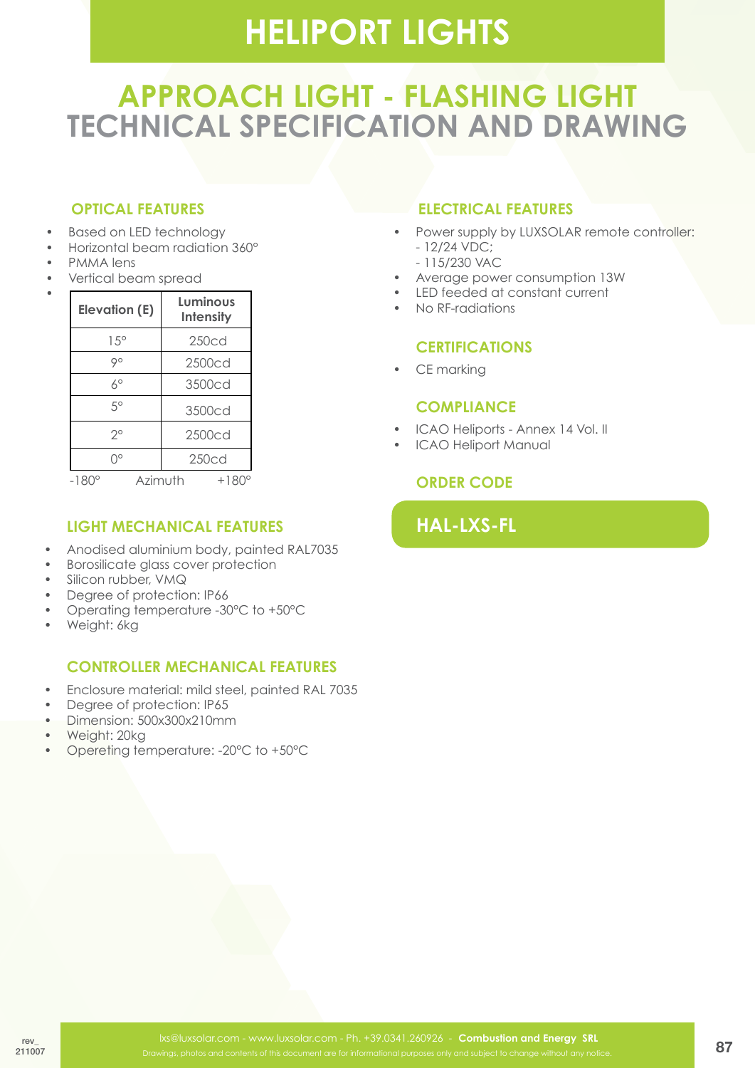## **APPROACH LIGHT - FLASHING LIGHT TECHNICAL SPECIFICATION AND DRAWING**

#### **OPTICAL FEATURES**

- **Based on LED technology**
- Horizontal beam radiation 360°
- PMMA lens

• 

Vertical beam spread

| <b>Elevation (E)</b> | Luminous<br><b>Intensity</b> |
|----------------------|------------------------------|
| $1.5^\circ$          | 250cd                        |
| 90                   | 2500cd                       |
| 60                   | 3500cd                       |
| 50                   | 3500cd                       |
| ?                    | 2500cd                       |
| ገ°                   | 250cd                        |
| -18                  | Azimuth<br>+180              |

**light MECHANICAL FEATURES**

- Anodised aluminium body, painted RAL7035
- Borosilicate glass cover protection
- Silicon rubber, VMQ
- Degree of protection: IP66
- Operating temperature -30°C to +50°C
- Weight: 6kg

#### **controller MECHANICAL FEATURES**

- • Enclosure material: mild steel, painted RAL 7035
- Degree of protection: IP65
- Dimension: 500x300x210mm
- • Weight: 20kg
- Opereting temperature: -20°C to +50°C

#### **ELECTRICAL FEATURES**

- Power supply by LUXSOLAR remote controller: - 12/24 VDC;
	- 115/230 VAC
- Average power consumption 13W
- • LED feeded at constant current
- No RF-radiations

#### **CERTIFICATIONS**

• CE marking

#### **COMPLIANCE**

- ICAO Heliports Annex 14 Vol. II
- ICAO Heliport Manual

#### **ORDER CODE**

### **HAL-LXS-FL**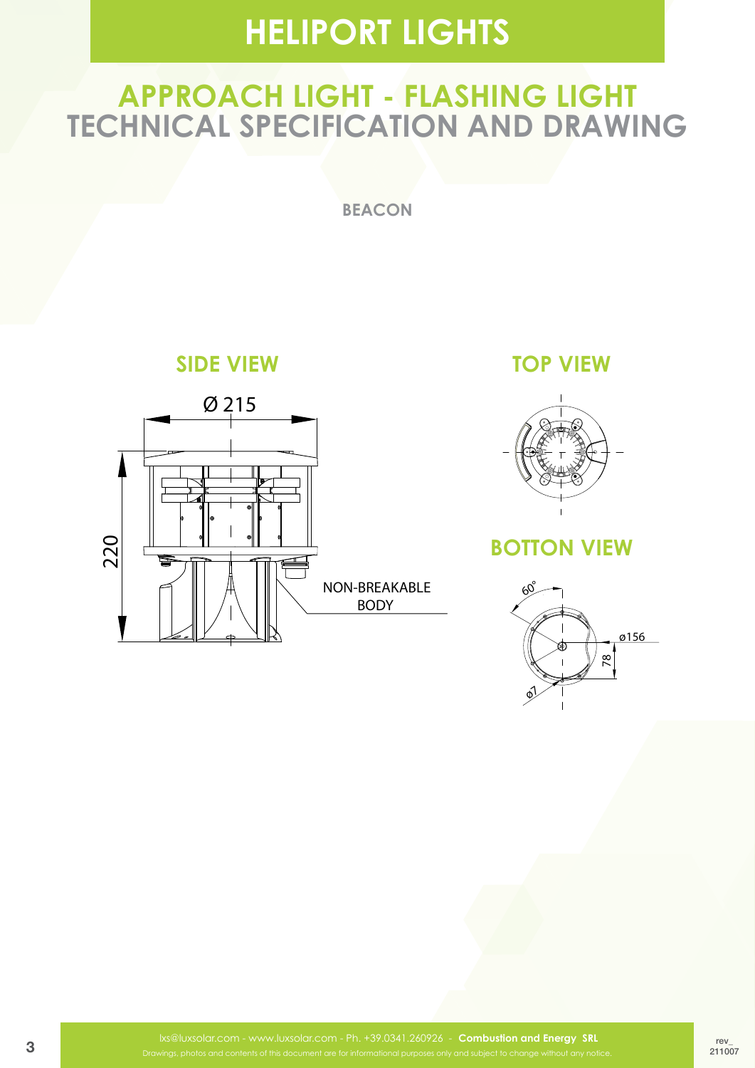### **APPROACH LIGHT - FLASHING LIGHT TECHNICAL SPECIFICATION AND DRAWING**

**beacon**

**SIDE VIEW SIDE VIEW TOP VIEW**



NON-BREAKABLE NON-BREAKABLE BODY BODY

**TOP VIEW** 



#### **BOTTON VIEW BOTTOM VIEW**  $\mathbf{u}$ **BOTTOM VIEW**